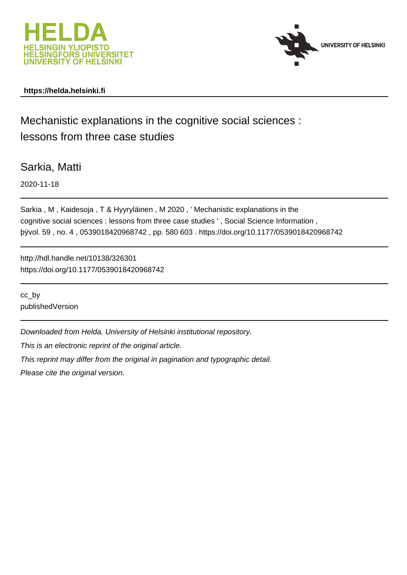



# **https://helda.helsinki.fi**

Mechanistic explanations in the cognitive social sciences :

# lessons from three case studies

Sarkia, Matti

2020-11-18

Sarkia , M , Kaidesoja , T & Hyyryläinen , M 2020 , ' Mechanistic explanations in the cognitive social sciences : lessons from three case studies ' , Social Science Information , þÿvol. 59 , no. 4 , 0539018420968742 , pp. 580 603 . https://doi.org/10.1177/0539018420968742

http://hdl.handle.net/10138/326301 https://doi.org/10.1177/0539018420968742

cc\_by publishedVersion

Downloaded from Helda, University of Helsinki institutional repository.

This is an electronic reprint of the original article.

This reprint may differ from the original in pagination and typographic detail.

Please cite the original version.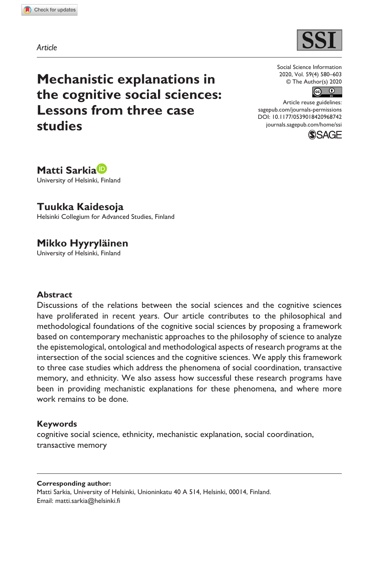*Article*



**Mechanistic explanations in the cognitive social sciences: Lessons from three case studies**

Social Science Information 2020, Vol. 59(4) 580–603 © The Author(s) 2020



Article reuse guidelines: [sagepub.com/journals-permissions](https://uk.sagepub.com/en-gb/journals-permissions) DOI: 10.1177/0539018420968742 [journals.sagepub.com/home/ssi](https://journals.sagepub.com/home/ssi)



**Matti Sarkia** University of Helsinki, Finland

**Tuukka Kaidesoja** Helsinki Collegium for Advanced Studies, Finland

# **Mikko Hyyryläinen**

University of Helsinki, Finland

#### **Abstract**

Discussions of the relations between the social sciences and the cognitive sciences have proliferated in recent years. Our article contributes to the philosophical and methodological foundations of the cognitive social sciences by proposing a framework based on contemporary mechanistic approaches to the philosophy of science to analyze the epistemological, ontological and methodological aspects of research programs at the intersection of the social sciences and the cognitive sciences. We apply this framework to three case studies which address the phenomena of social coordination, transactive memory, and ethnicity. We also assess how successful these research programs have been in providing mechanistic explanations for these phenomena, and where more work remains to be done.

#### **Keywords**

cognitive social science, ethnicity, mechanistic explanation, social coordination, transactive memory

**Corresponding author:**

Matti Sarkia, University of Helsinki, Unioninkatu 40 A 514, Helsinki, 00014, Finland. Email: [matti.sarkia@helsinki.fi](mailto:matti.sarkia@helsinki.fi)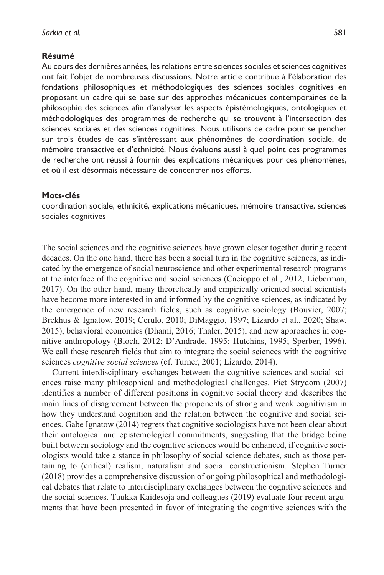#### **Résumé**

Au cours des dernières années, les relations entre sciences sociales et sciences cognitives ont fait l'objet de nombreuses discussions. Notre article contribue à l'élaboration des fondations philosophiques et méthodologiques des sciences sociales cognitives en proposant un cadre qui se base sur des approches mécaniques contemporaines de la philosophie des sciences afin d'analyser les aspects épistémologiques, ontologiques et méthodologiques des programmes de recherche qui se trouvent à l'intersection des sciences sociales et des sciences cognitives. Nous utilisons ce cadre pour se pencher sur trois études de cas s'intéressant aux phénomènes de coordination sociale, de mémoire transactive et d'ethnicité. Nous évaluons aussi à quel point ces programmes de recherche ont réussi à fournir des explications mécaniques pour ces phénomènes, et où il est désormais nécessaire de concentrer nos efforts.

#### **Mots-clés**

coordination sociale, ethnicité, explications mécaniques, mémoire transactive, sciences sociales cognitives

The social sciences and the cognitive sciences have grown closer together during recent decades. On the one hand, there has been a social turn in the cognitive sciences, as indicated by the emergence of social neuroscience and other experimental research programs at the interface of the cognitive and social sciences (Cacioppo et al., 2012; Lieberman, 2017). On the other hand, many theoretically and empirically oriented social scientists have become more interested in and informed by the cognitive sciences, as indicated by the emergence of new research fields, such as cognitive sociology (Bouvier, 2007; Brekhus & Ignatow, 2019; Cerulo, 2010; DiMaggio, 1997; Lizardo et al., 2020; Shaw, 2015), behavioral economics (Dhami, 2016; Thaler, 2015), and new approaches in cognitive anthropology (Bloch, 2012; D'Andrade, 1995; Hutchins, 1995; Sperber, 1996). We call these research fields that aim to integrate the social sciences with the cognitive sciences *cognitive social sciences* (cf. Turner, 2001; Lizardo, 2014).

Current interdisciplinary exchanges between the cognitive sciences and social sciences raise many philosophical and methodological challenges. Piet Strydom (2007) identifies a number of different positions in cognitive social theory and describes the main lines of disagreement between the proponents of strong and weak cognitivism in how they understand cognition and the relation between the cognitive and social sciences. Gabe Ignatow (2014) regrets that cognitive sociologists have not been clear about their ontological and epistemological commitments, suggesting that the bridge being built between sociology and the cognitive sciences would be enhanced, if cognitive sociologists would take a stance in philosophy of social science debates, such as those pertaining to (critical) realism, naturalism and social constructionism. Stephen Turner (2018) provides a comprehensive discussion of ongoing philosophical and methodological debates that relate to interdisciplinary exchanges between the cognitive sciences and the social sciences. Tuukka Kaidesoja and colleagues (2019) evaluate four recent arguments that have been presented in favor of integrating the cognitive sciences with the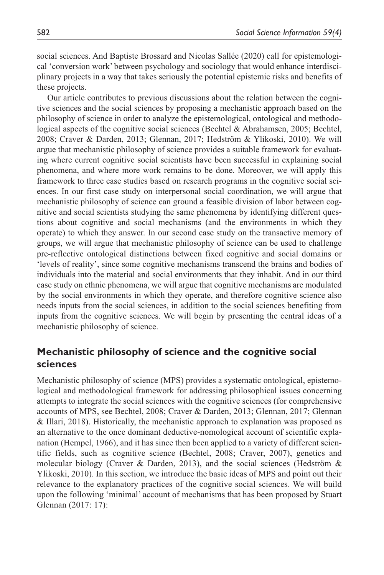social sciences. And Baptiste Brossard and Nicolas Sallée (2020) call for epistemological 'conversion work' between psychology and sociology that would enhance interdisciplinary projects in a way that takes seriously the potential epistemic risks and benefits of these projects.

Our article contributes to previous discussions about the relation between the cognitive sciences and the social sciences by proposing a mechanistic approach based on the philosophy of science in order to analyze the epistemological, ontological and methodological aspects of the cognitive social sciences (Bechtel & Abrahamsen, 2005; Bechtel, 2008; Craver & Darden, 2013; Glennan, 2017; Hedström & Ylikoski, 2010). We will argue that mechanistic philosophy of science provides a suitable framework for evaluating where current cognitive social scientists have been successful in explaining social phenomena, and where more work remains to be done. Moreover, we will apply this framework to three case studies based on research programs in the cognitive social sciences. In our first case study on interpersonal social coordination, we will argue that mechanistic philosophy of science can ground a feasible division of labor between cognitive and social scientists studying the same phenomena by identifying different questions about cognitive and social mechanisms (and the environments in which they operate) to which they answer. In our second case study on the transactive memory of groups, we will argue that mechanistic philosophy of science can be used to challenge pre-reflective ontological distinctions between fixed cognitive and social domains or 'levels of reality', since some cognitive mechanisms transcend the brains and bodies of individuals into the material and social environments that they inhabit. And in our third case study on ethnic phenomena, we will argue that cognitive mechanisms are modulated by the social environments in which they operate, and therefore cognitive science also needs inputs from the social sciences, in addition to the social sciences benefiting from inputs from the cognitive sciences. We will begin by presenting the central ideas of a mechanistic philosophy of science.

## **Mechanistic philosophy of science and the cognitive social sciences**

Mechanistic philosophy of science (MPS) provides a systematic ontological, epistemological and methodological framework for addressing philosophical issues concerning attempts to integrate the social sciences with the cognitive sciences (for comprehensive accounts of MPS, see Bechtel, 2008; Craver & Darden, 2013; Glennan, 2017; Glennan & Illari, 2018). Historically, the mechanistic approach to explanation was proposed as an alternative to the once dominant deductive-nomological account of scientific explanation (Hempel, 1966), and it has since then been applied to a variety of different scientific fields, such as cognitive science (Bechtel, 2008; Craver, 2007), genetics and molecular biology (Craver & Darden, 2013), and the social sciences (Hedström & Ylikoski, 2010). In this section, we introduce the basic ideas of MPS and point out their relevance to the explanatory practices of the cognitive social sciences. We will build upon the following 'minimal' account of mechanisms that has been proposed by Stuart Glennan (2017: 17):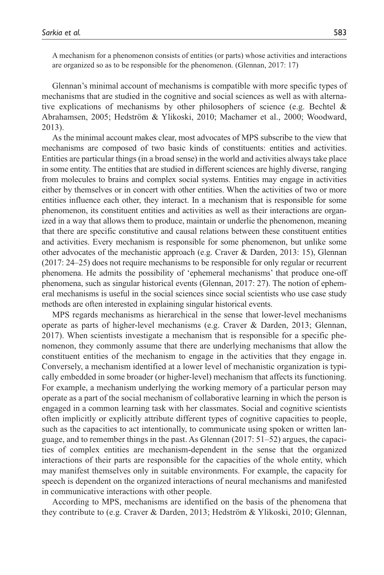A mechanism for a phenomenon consists of entities (or parts) whose activities and interactions are organized so as to be responsible for the phenomenon. (Glennan, 2017: 17)

Glennan's minimal account of mechanisms is compatible with more specific types of mechanisms that are studied in the cognitive and social sciences as well as with alternative explications of mechanisms by other philosophers of science (e.g. Bechtel  $\&$ Abrahamsen, 2005; Hedström & Ylikoski, 2010; Machamer et al., 2000; Woodward, 2013).

As the minimal account makes clear, most advocates of MPS subscribe to the view that mechanisms are composed of two basic kinds of constituents: entities and activities. Entities are particular things (in a broad sense) in the world and activities always take place in some entity. The entities that are studied in different sciences are highly diverse, ranging from molecules to brains and complex social systems. Entities may engage in activities either by themselves or in concert with other entities. When the activities of two or more entities influence each other, they interact. In a mechanism that is responsible for some phenomenon, its constituent entities and activities as well as their interactions are organized in a way that allows them to produce, maintain or underlie the phenomenon, meaning that there are specific constitutive and causal relations between these constituent entities and activities. Every mechanism is responsible for some phenomenon, but unlike some other advocates of the mechanistic approach (e.g. Craver & Darden, 2013: 15), Glennan (2017: 24–25) does not require mechanisms to be responsible for only regular or recurrent phenomena. He admits the possibility of 'ephemeral mechanisms' that produce one-off phenomena, such as singular historical events (Glennan, 2017: 27). The notion of ephemeral mechanisms is useful in the social sciences since social scientists who use case study methods are often interested in explaining singular historical events.

MPS regards mechanisms as hierarchical in the sense that lower-level mechanisms operate as parts of higher-level mechanisms (e.g. Craver & Darden, 2013; Glennan, 2017). When scientists investigate a mechanism that is responsible for a specific phenomenon, they commonly assume that there are underlying mechanisms that allow the constituent entities of the mechanism to engage in the activities that they engage in. Conversely, a mechanism identified at a lower level of mechanistic organization is typically embedded in some broader (or higher-level) mechanism that affects its functioning. For example, a mechanism underlying the working memory of a particular person may operate as a part of the social mechanism of collaborative learning in which the person is engaged in a common learning task with her classmates. Social and cognitive scientists often implicitly or explicitly attribute different types of cognitive capacities to people, such as the capacities to act intentionally, to communicate using spoken or written language, and to remember things in the past. As Glennan (2017: 51–52) argues, the capacities of complex entities are mechanism-dependent in the sense that the organized interactions of their parts are responsible for the capacities of the whole entity, which may manifest themselves only in suitable environments. For example, the capacity for speech is dependent on the organized interactions of neural mechanisms and manifested in communicative interactions with other people.

According to MPS, mechanisms are identified on the basis of the phenomena that they contribute to (e.g. Craver & Darden, 2013; Hedström & Ylikoski, 2010; Glennan,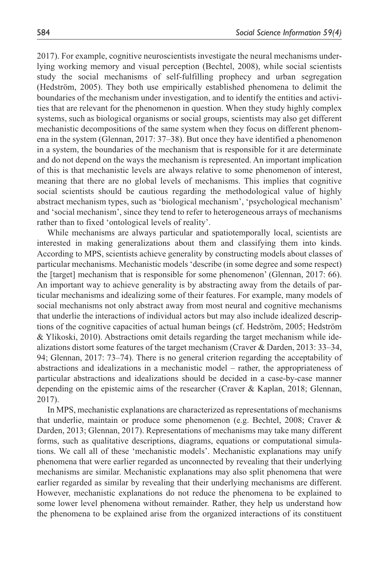2017). For example, cognitive neuroscientists investigate the neural mechanisms underlying working memory and visual perception (Bechtel, 2008), while social scientists study the social mechanisms of self-fulfilling prophecy and urban segregation (Hedström, 2005). They both use empirically established phenomena to delimit the boundaries of the mechanism under investigation, and to identify the entities and activities that are relevant for the phenomenon in question. When they study highly complex systems, such as biological organisms or social groups, scientists may also get different mechanistic decompositions of the same system when they focus on different phenomena in the system (Glennan, 2017: 37–38). But once they have identified a phenomenon in a system, the boundaries of the mechanism that is responsible for it are determinate and do not depend on the ways the mechanism is represented. An important implication of this is that mechanistic levels are always relative to some phenomenon of interest, meaning that there are no global levels of mechanisms. This implies that cognitive social scientists should be cautious regarding the methodological value of highly abstract mechanism types, such as 'biological mechanism', 'psychological mechanism' and 'social mechanism', since they tend to refer to heterogeneous arrays of mechanisms rather than to fixed 'ontological levels of reality'.

While mechanisms are always particular and spatiotemporally local, scientists are interested in making generalizations about them and classifying them into kinds. According to MPS, scientists achieve generality by constructing models about classes of particular mechanisms. Mechanistic models 'describe (in some degree and some respect) the [target] mechanism that is responsible for some phenomenon' (Glennan, 2017: 66). An important way to achieve generality is by abstracting away from the details of particular mechanisms and idealizing some of their features. For example, many models of social mechanisms not only abstract away from most neural and cognitive mechanisms that underlie the interactions of individual actors but may also include idealized descriptions of the cognitive capacities of actual human beings (cf. Hedström, 2005; Hedström & Ylikoski, 2010). Abstractions omit details regarding the target mechanism while idealizations distort some features of the target mechanism (Craver & Darden, 2013: 33–34, 94; Glennan, 2017: 73–74). There is no general criterion regarding the acceptability of abstractions and idealizations in a mechanistic model – rather, the appropriateness of particular abstractions and idealizations should be decided in a case-by-case manner depending on the epistemic aims of the researcher (Craver & Kaplan, 2018; Glennan, 2017).

In MPS, mechanistic explanations are characterized as representations of mechanisms that underlie, maintain or produce some phenomenon (e.g. Bechtel, 2008; Craver & Darden, 2013; Glennan, 2017). Representations of mechanisms may take many different forms, such as qualitative descriptions, diagrams, equations or computational simulations. We call all of these 'mechanistic models'. Mechanistic explanations may unify phenomena that were earlier regarded as unconnected by revealing that their underlying mechanisms are similar. Mechanistic explanations may also split phenomena that were earlier regarded as similar by revealing that their underlying mechanisms are different. However, mechanistic explanations do not reduce the phenomena to be explained to some lower level phenomena without remainder. Rather, they help us understand how the phenomena to be explained arise from the organized interactions of its constituent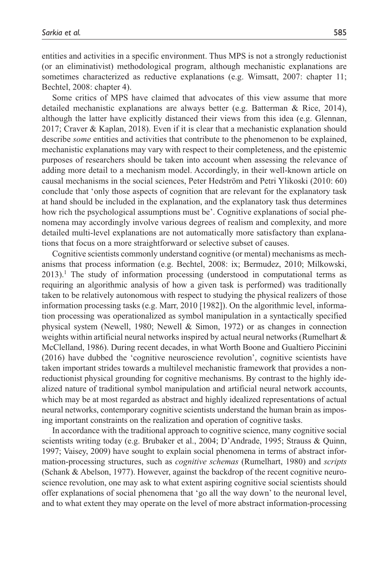entities and activities in a specific environment. Thus MPS is not a strongly reductionist (or an eliminativist) methodological program, although mechanistic explanations are sometimes characterized as reductive explanations (e.g. Wimsatt, 2007: chapter 11; Bechtel, 2008: chapter 4).

Some critics of MPS have claimed that advocates of this view assume that more detailed mechanistic explanations are always better (e.g. Batterman & Rice, 2014), although the latter have explicitly distanced their views from this idea (e.g. Glennan, 2017; Craver & Kaplan, 2018). Even if it is clear that a mechanistic explanation should describe *some* entities and activities that contribute to the phenomenon to be explained, mechanistic explanations may vary with respect to their completeness, and the epistemic purposes of researchers should be taken into account when assessing the relevance of adding more detail to a mechanism model. Accordingly, in their well-known article on causal mechanisms in the social sciences, Peter Hedström and Petri Ylikoski (2010: 60) conclude that 'only those aspects of cognition that are relevant for the explanatory task at hand should be included in the explanation, and the explanatory task thus determines how rich the psychological assumptions must be'. Cognitive explanations of social phenomena may accordingly involve various degrees of realism and complexity, and more detailed multi-level explanations are not automatically more satisfactory than explanations that focus on a more straightforward or selective subset of causes.

Cognitive scientists commonly understand cognitive (or mental) mechanisms as mechanisms that process information (e.g. Bechtel, 2008: ix; Bermudez, 2010; Milkowski, 2013).<sup>1</sup> The study of information processing (understood in computational terms as requiring an algorithmic analysis of how a given task is performed) was traditionally taken to be relatively autonomous with respect to studying the physical realizers of those information processing tasks (e.g. Marr, 2010 [1982]). On the algorithmic level, information processing was operationalized as symbol manipulation in a syntactically specified physical system (Newell, 1980; Newell & Simon, 1972) or as changes in connection weights within artificial neural networks inspired by actual neural networks (Rumelhart  $\&$ McClelland, 1986). During recent decades, in what Worth Boone and Gualtiero Piccinini (2016) have dubbed the 'cognitive neuroscience revolution', cognitive scientists have taken important strides towards a multilevel mechanistic framework that provides a nonreductionist physical grounding for cognitive mechanisms. By contrast to the highly idealized nature of traditional symbol manipulation and artificial neural network accounts, which may be at most regarded as abstract and highly idealized representations of actual neural networks, contemporary cognitive scientists understand the human brain as imposing important constraints on the realization and operation of cognitive tasks.

In accordance with the traditional approach to cognitive science, many cognitive social scientists writing today (e.g. Brubaker et al., 2004; D'Andrade, 1995; Strauss & Quinn, 1997; Vaisey, 2009) have sought to explain social phenomena in terms of abstract information-processing structures, such as *cognitive schemas* (Rumelhart, 1980) and *scripts* (Schank & Abelson, 1977). However, against the backdrop of the recent cognitive neuroscience revolution, one may ask to what extent aspiring cognitive social scientists should offer explanations of social phenomena that 'go all the way down' to the neuronal level, and to what extent they may operate on the level of more abstract information-processing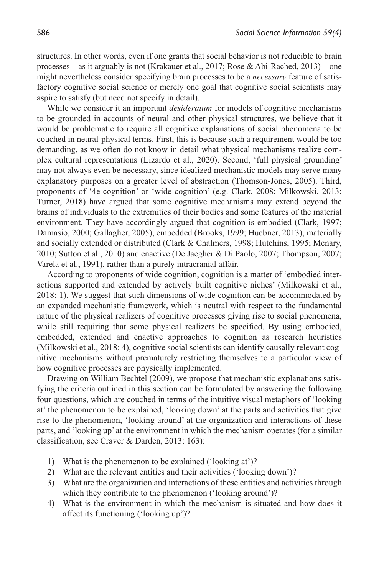structures. In other words, even if one grants that social behavior is not reducible to brain processes – as it arguably is not (Krakauer et al., 2017; Rose & Abi-Rached, 2013) – one might nevertheless consider specifying brain processes to be a *necessary* feature of satisfactory cognitive social science or merely one goal that cognitive social scientists may aspire to satisfy (but need not specify in detail).

While we consider it an important *desideratum* for models of cognitive mechanisms to be grounded in accounts of neural and other physical structures, we believe that it would be problematic to require all cognitive explanations of social phenomena to be couched in neural-physical terms. First, this is because such a requirement would be too demanding, as we often do not know in detail what physical mechanisms realize complex cultural representations (Lizardo et al., 2020). Second, 'full physical grounding' may not always even be necessary, since idealized mechanistic models may serve many explanatory purposes on a greater level of abstraction (Thomson-Jones, 2005). Third, proponents of '4e-cognition' or 'wide cognition' (e.g. Clark, 2008; Milkowski, 2013; Turner, 2018) have argued that some cognitive mechanisms may extend beyond the brains of individuals to the extremities of their bodies and some features of the material environment. They have accordingly argued that cognition is embodied (Clark, 1997; Damasio, 2000; Gallagher, 2005), embedded (Brooks, 1999; Huebner, 2013), materially and socially extended or distributed (Clark & Chalmers, 1998; Hutchins, 1995; Menary, 2010; Sutton et al., 2010) and enactive (De Jaegher & Di Paolo, 2007; Thompson, 2007; Varela et al., 1991), rather than a purely intracranial affair.

According to proponents of wide cognition, cognition is a matter of 'embodied interactions supported and extended by actively built cognitive niches' (Milkowski et al., 2018: 1). We suggest that such dimensions of wide cognition can be accommodated by an expanded mechanistic framework, which is neutral with respect to the fundamental nature of the physical realizers of cognitive processes giving rise to social phenomena, while still requiring that some physical realizers be specified. By using embodied, embedded, extended and enactive approaches to cognition as research heuristics (Milkowski et al., 2018: 4), cognitive social scientists can identify causally relevant cognitive mechanisms without prematurely restricting themselves to a particular view of how cognitive processes are physically implemented.

Drawing on William Bechtel (2009), we propose that mechanistic explanations satisfying the criteria outlined in this section can be formulated by answering the following four questions, which are couched in terms of the intuitive visual metaphors of 'looking at' the phenomenon to be explained, 'looking down' at the parts and activities that give rise to the phenomenon, 'looking around' at the organization and interactions of these parts, and 'looking up' at the environment in which the mechanism operates (for a similar classification, see Craver & Darden, 2013: 163):

- 1) What is the phenomenon to be explained ('looking at')?
- 2) What are the relevant entities and their activities ('looking down')?
- 3) What are the organization and interactions of these entities and activities through which they contribute to the phenomenon ('looking around')?
- 4) What is the environment in which the mechanism is situated and how does it affect its functioning ('looking up')?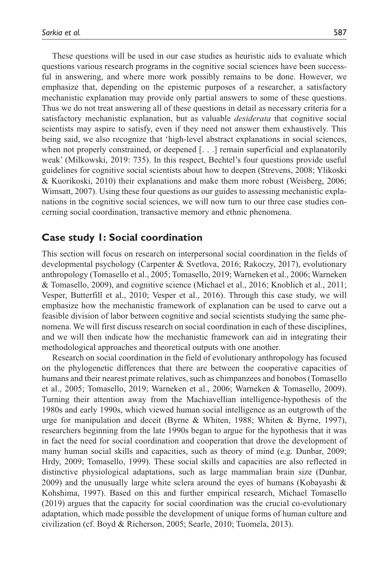These questions will be used in our case studies as heuristic aids to evaluate which questions various research programs in the cognitive social sciences have been successful in answering, and where more work possibly remains to be done. However, we emphasize that, depending on the epistemic purposes of a researcher, a satisfactory mechanistic explanation may provide only partial answers to some of these questions. Thus we do not treat answering all of these questions in detail as necessary criteria for a satisfactory mechanistic explanation, but as valuable *desiderata* that cognitive social scientists may aspire to satisfy, even if they need not answer them exhaustively. This being said, we also recognize that 'high-level abstract explanations in social sciences, when not properly constrained, or deepened [...] remain superficial and explanatorily weak' (Milkowski, 2019: 735). In this respect, Bechtel's four questions provide useful guidelines for cognitive social scientists about how to deepen (Strevens, 2008; Ylikoski & Kuorikoski, 2010) their explanations and make them more robust (Weisberg, 2006; Wimsatt, 2007). Using these four questions as our guides to assessing mechanistic explanations in the cognitive social sciences, we will now turn to our three case studies concerning social coordination, transactive memory and ethnic phenomena.

#### **Case study 1: Social coordination**

This section will focus on research on interpersonal social coordination in the fields of developmental psychology (Carpenter & Svetlova, 2016; Rakoczy, 2017), evolutionary anthropology (Tomasello et al., 2005; Tomasello, 2019; Warneken et al., 2006; Warneken & Tomasello, 2009), and cognitive science (Michael et al., 2016; Knoblich et al., 2011; Vesper, Butterfill et al., 2010; Vesper et al., 2016). Through this case study, we will emphasize how the mechanistic framework of explanation can be used to carve out a feasible division of labor between cognitive and social scientists studying the same phenomena. We will first discuss research on social coordination in each of these disciplines, and we will then indicate how the mechanistic framework can aid in integrating their methodological approaches and theoretical outputs with one another.

Research on social coordination in the field of evolutionary anthropology has focused on the phylogenetic differences that there are between the cooperative capacities of humans and their nearest primate relatives, such as chimpanzees and bonobos (Tomasello et al., 2005; Tomasello, 2019; Warneken et al., 2006; Warneken & Tomasello, 2009). Turning their attention away from the Machiavellian intelligence-hypothesis of the 1980s and early 1990s, which viewed human social intelligence as an outgrowth of the urge for manipulation and deceit (Byrne & Whiten, 1988; Whiten & Byrne, 1997), researchers beginning from the late 1990s began to argue for the hypothesis that it was in fact the need for social coordination and cooperation that drove the development of many human social skills and capacities, such as theory of mind (e.g. Dunbar, 2009; Hrdy, 2009; Tomasello, 1999). These social skills and capacities are also reflected in distinctive physiological adaptations, such as large mammalian brain size (Dunbar, 2009) and the unusually large white sclera around the eyes of humans (Kobayashi  $\&$ Kohshima, 1997). Based on this and further empirical research, Michael Tomasello (2019) argues that the capacity for social coordination was the crucial co-evolutionary adaptation, which made possible the development of unique forms of human culture and civilization (cf. Boyd & Richerson, 2005; Searle, 2010; Tuomela, 2013).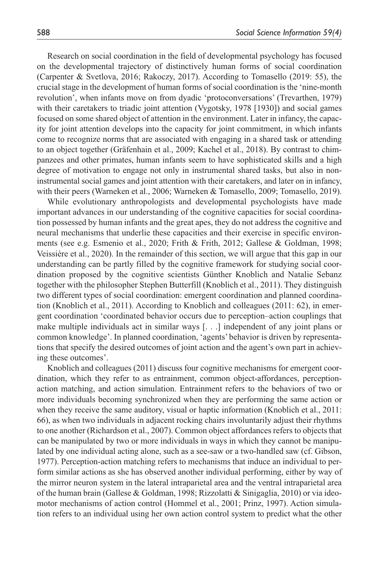Research on social coordination in the field of developmental psychology has focused on the developmental trajectory of distinctively human forms of social coordination (Carpenter & Svetlova, 2016; Rakoczy, 2017). According to Tomasello (2019: 55), the crucial stage in the development of human forms of social coordination is the 'nine-month revolution', when infants move on from dyadic 'protoconversations' (Trevarthen, 1979) with their caretakers to triadic joint attention (Vygotsky, 1978 [1930]) and social games focused on some shared object of attention in the environment. Later in infancy, the capacity for joint attention develops into the capacity for joint commitment, in which infants come to recognize norms that are associated with engaging in a shared task or attending to an object together (Gräfenhain et al., 2009; Kachel et al., 2018). By contrast to chimpanzees and other primates, human infants seem to have sophisticated skills and a high degree of motivation to engage not only in instrumental shared tasks, but also in noninstrumental social games and joint attention with their caretakers, and later on in infancy, with their peers (Warneken et al., 2006; Warneken & Tomasello, 2009; Tomasello, 2019).

While evolutionary anthropologists and developmental psychologists have made important advances in our understanding of the cognitive capacities for social coordination possessed by human infants and the great apes, they do not address the cognitive and neural mechanisms that underlie these capacities and their exercise in specific environments (see e.g. Esmenio et al., 2020; Frith & Frith, 2012; Gallese & Goldman, 1998; Veissière et al., 2020). In the remainder of this section, we will argue that this gap in our understanding can be partly filled by the cognitive framework for studying social coordination proposed by the cognitive scientists Günther Knoblich and Natalie Sebanz together with the philosopher Stephen Butterfill (Knoblich et al., 2011). They distinguish two different types of social coordination: emergent coordination and planned coordination (Knoblich et al., 2011). According to Knoblich and colleagues (2011: 62), in emergent coordination 'coordinated behavior occurs due to perception–action couplings that make multiple individuals act in similar ways [. . .] independent of any joint plans or common knowledge'. In planned coordination, 'agents' behavior is driven by representations that specify the desired outcomes of joint action and the agent's own part in achieving these outcomes'.

Knoblich and colleagues (2011) discuss four cognitive mechanisms for emergent coordination, which they refer to as entrainment, common object-affordances, perceptionaction matching, and action simulation. Entrainment refers to the behaviors of two or more individuals becoming synchronized when they are performing the same action or when they receive the same auditory, visual or haptic information (Knoblich et al., 2011: 66), as when two individuals in adjacent rocking chairs involuntarily adjust their rhythms to one another (Richardson et al., 2007). Common object affordances refers to objects that can be manipulated by two or more individuals in ways in which they cannot be manipulated by one individual acting alone, such as a see-saw or a two-handled saw (cf. Gibson, 1977). Perception-action matching refers to mechanisms that induce an individual to perform similar actions as she has observed another individual performing, either by way of the mirror neuron system in the lateral intraparietal area and the ventral intraparietal area of the human brain (Gallese & Goldman, 1998; Rizzolatti & Sinigaglia, 2010) or via ideomotor mechanisms of action control (Hommel et al., 2001; Prinz, 1997). Action simulation refers to an individual using her own action control system to predict what the other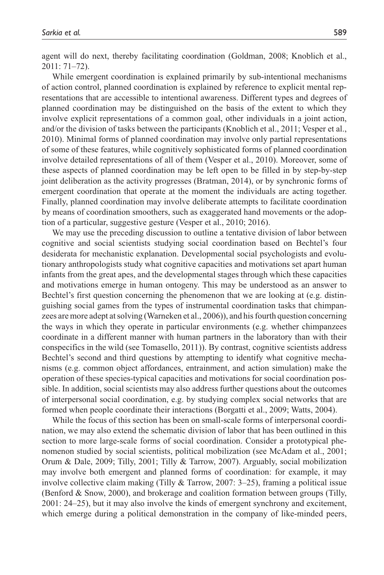agent will do next, thereby facilitating coordination (Goldman, 2008; Knoblich et al., 2011: 71–72).

While emergent coordination is explained primarily by sub-intentional mechanisms of action control, planned coordination is explained by reference to explicit mental representations that are accessible to intentional awareness. Different types and degrees of planned coordination may be distinguished on the basis of the extent to which they involve explicit representations of a common goal, other individuals in a joint action, and/or the division of tasks between the participants (Knoblich et al., 2011; Vesper et al., 2010). Minimal forms of planned coordination may involve only partial representations of some of these features, while cognitively sophisticated forms of planned coordination involve detailed representations of all of them (Vesper et al., 2010). Moreover, some of these aspects of planned coordination may be left open to be filled in by step-by-step joint deliberation as the activity progresses (Bratman, 2014), or by synchronic forms of emergent coordination that operate at the moment the individuals are acting together. Finally, planned coordination may involve deliberate attempts to facilitate coordination by means of coordination smoothers, such as exaggerated hand movements or the adoption of a particular, suggestive gesture (Vesper et al., 2010; 2016).

We may use the preceding discussion to outline a tentative division of labor between cognitive and social scientists studying social coordination based on Bechtel's four desiderata for mechanistic explanation. Developmental social psychologists and evolutionary anthropologists study what cognitive capacities and motivations set apart human infants from the great apes, and the developmental stages through which these capacities and motivations emerge in human ontogeny. This may be understood as an answer to Bechtel's first question concerning the phenomenon that we are looking at (e.g. distinguishing social games from the types of instrumental coordination tasks that chimpanzees are more adept at solving (Warneken et al., 2006)), and his fourth question concerning the ways in which they operate in particular environments (e.g. whether chimpanzees coordinate in a different manner with human partners in the laboratory than with their conspecifics in the wild (see Tomasello, 2011)). By contrast, cognitive scientists address Bechtel's second and third questions by attempting to identify what cognitive mechanisms (e.g. common object affordances, entrainment, and action simulation) make the operation of these species-typical capacities and motivations for social coordination possible. In addition, social scientists may also address further questions about the outcomes of interpersonal social coordination, e.g. by studying complex social networks that are formed when people coordinate their interactions (Borgatti et al., 2009; Watts, 2004).

While the focus of this section has been on small-scale forms of interpersonal coordination, we may also extend the schematic division of labor that has been outlined in this section to more large-scale forms of social coordination. Consider a prototypical phenomenon studied by social scientists, political mobilization (see McAdam et al., 2001; Orum & Dale, 2009; Tilly, 2001; Tilly & Tarrow, 2007). Arguably, social mobilization may involve both emergent and planned forms of coordination: for example, it may involve collective claim making (Tilly & Tarrow, 2007: 3–25), framing a political issue (Benford & Snow, 2000), and brokerage and coalition formation between groups (Tilly, 2001: 24–25), but it may also involve the kinds of emergent synchrony and excitement, which emerge during a political demonstration in the company of like-minded peers,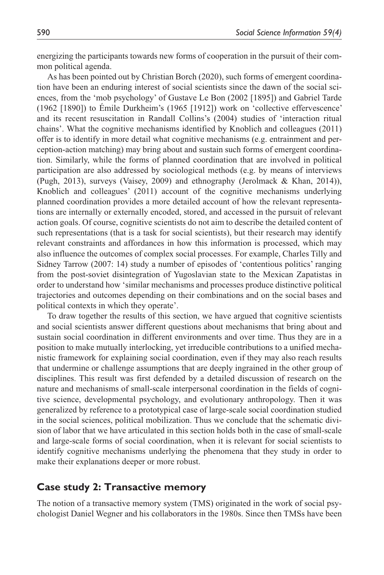energizing the participants towards new forms of cooperation in the pursuit of their common political agenda.

As has been pointed out by Christian Borch (2020), such forms of emergent coordination have been an enduring interest of social scientists since the dawn of the social sciences, from the 'mob psychology' of Gustave Le Bon (2002 [1895]) and Gabriel Tarde (1962 [1890]) to Émile Durkheim's (1965 [1912]) work on 'collective effervescence' and its recent resuscitation in Randall Collins's (2004) studies of 'interaction ritual chains'. What the cognitive mechanisms identified by Knoblich and colleagues (2011) offer is to identify in more detail what cognitive mechanisms (e.g. entrainment and perception-action matching) may bring about and sustain such forms of emergent coordination. Similarly, while the forms of planned coordination that are involved in political participation are also addressed by sociological methods (e.g. by means of interviews (Pugh, 2013), surveys (Vaisey, 2009) and ethnography (Jerolmack & Khan, 2014)), Knoblich and colleagues' (2011) account of the cognitive mechanisms underlying planned coordination provides a more detailed account of how the relevant representations are internally or externally encoded, stored, and accessed in the pursuit of relevant action goals. Of course, cognitive scientists do not aim to describe the detailed content of such representations (that is a task for social scientists), but their research may identify relevant constraints and affordances in how this information is processed, which may also influence the outcomes of complex social processes. For example, Charles Tilly and Sidney Tarrow (2007: 14) study a number of episodes of 'contentious politics' ranging from the post-soviet disintegration of Yugoslavian state to the Mexican Zapatistas in order to understand how 'similar mechanisms and processes produce distinctive political trajectories and outcomes depending on their combinations and on the social bases and political contexts in which they operate'.

To draw together the results of this section, we have argued that cognitive scientists and social scientists answer different questions about mechanisms that bring about and sustain social coordination in different environments and over time. Thus they are in a position to make mutually interlocking, yet irreducible contributions to a unified mechanistic framework for explaining social coordination, even if they may also reach results that undermine or challenge assumptions that are deeply ingrained in the other group of disciplines. This result was first defended by a detailed discussion of research on the nature and mechanisms of small-scale interpersonal coordination in the fields of cognitive science, developmental psychology, and evolutionary anthropology. Then it was generalized by reference to a prototypical case of large-scale social coordination studied in the social sciences, political mobilization. Thus we conclude that the schematic division of labor that we have articulated in this section holds both in the case of small-scale and large-scale forms of social coordination, when it is relevant for social scientists to identify cognitive mechanisms underlying the phenomena that they study in order to make their explanations deeper or more robust.

### **Case study 2: Transactive memory**

The notion of a transactive memory system (TMS) originated in the work of social psychologist Daniel Wegner and his collaborators in the 1980s. Since then TMSs have been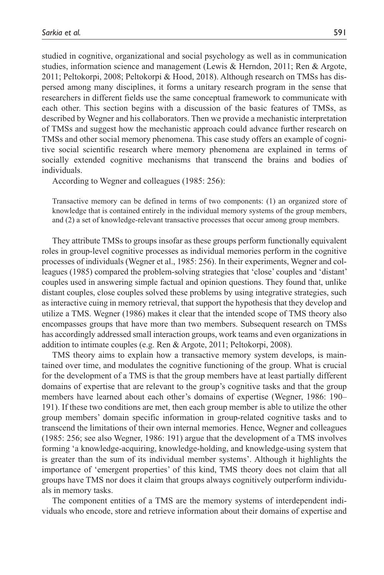studied in cognitive, organizational and social psychology as well as in communication studies, information science and management (Lewis & Herndon, 2011; Ren & Argote, 2011; Peltokorpi, 2008; Peltokorpi & Hood, 2018). Although research on TMSs has dispersed among many disciplines, it forms a unitary research program in the sense that researchers in different fields use the same conceptual framework to communicate with each other. This section begins with a discussion of the basic features of TMSs, as described by Wegner and his collaborators. Then we provide a mechanistic interpretation of TMSs and suggest how the mechanistic approach could advance further research on TMSs and other social memory phenomena. This case study offers an example of cognitive social scientific research where memory phenomena are explained in terms of socially extended cognitive mechanisms that transcend the brains and bodies of individuals.

According to Wegner and colleagues (1985: 256):

Transactive memory can be defined in terms of two components: (1) an organized store of knowledge that is contained entirely in the individual memory systems of the group members, and (2) a set of knowledge-relevant transactive processes that occur among group members.

They attribute TMSs to groups insofar as these groups perform functionally equivalent roles in group-level cognitive processes as individual memories perform in the cognitive processes of individuals (Wegner et al., 1985: 256). In their experiments, Wegner and colleagues (1985) compared the problem-solving strategies that 'close' couples and 'distant' couples used in answering simple factual and opinion questions. They found that, unlike distant couples, close couples solved these problems by using integrative strategies, such as interactive cuing in memory retrieval, that support the hypothesis that they develop and utilize a TMS. Wegner (1986) makes it clear that the intended scope of TMS theory also encompasses groups that have more than two members. Subsequent research on TMSs has accordingly addressed small interaction groups, work teams and even organizations in addition to intimate couples (e.g. Ren & Argote, 2011; Peltokorpi, 2008).

TMS theory aims to explain how a transactive memory system develops, is maintained over time, and modulates the cognitive functioning of the group. What is crucial for the development of a TMS is that the group members have at least partially different domains of expertise that are relevant to the group's cognitive tasks and that the group members have learned about each other's domains of expertise (Wegner, 1986: 190– 191). If these two conditions are met, then each group member is able to utilize the other group members' domain specific information in group-related cognitive tasks and to transcend the limitations of their own internal memories. Hence, Wegner and colleagues (1985: 256; see also Wegner, 1986: 191) argue that the development of a TMS involves forming 'a knowledge-acquiring, knowledge-holding, and knowledge-using system that is greater than the sum of its individual member systems'. Although it highlights the importance of 'emergent properties' of this kind, TMS theory does not claim that all groups have TMS nor does it claim that groups always cognitively outperform individuals in memory tasks.

The component entities of a TMS are the memory systems of interdependent individuals who encode, store and retrieve information about their domains of expertise and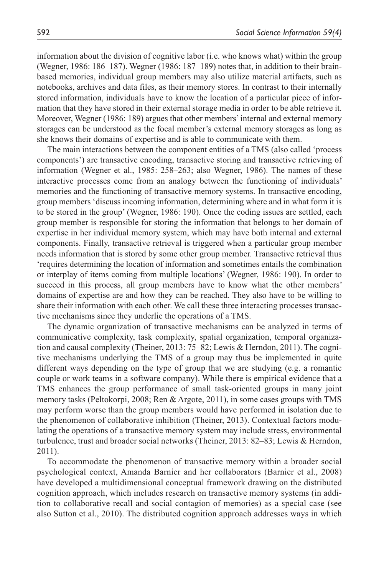information about the division of cognitive labor (i.e. who knows what) within the group (Wegner, 1986: 186–187). Wegner (1986: 187–189) notes that, in addition to their brainbased memories, individual group members may also utilize material artifacts, such as notebooks, archives and data files, as their memory stores. In contrast to their internally stored information, individuals have to know the location of a particular piece of information that they have stored in their external storage media in order to be able retrieve it. Moreover, Wegner (1986: 189) argues that other members' internal and external memory storages can be understood as the focal member's external memory storages as long as she knows their domains of expertise and is able to communicate with them.

The main interactions between the component entities of a TMS (also called 'process components') are transactive encoding, transactive storing and transactive retrieving of information (Wegner et al., 1985: 258–263; also Wegner, 1986). The names of these interactive processes come from an analogy between the functioning of individuals' memories and the functioning of transactive memory systems. In transactive encoding, group members 'discuss incoming information, determining where and in what form it is to be stored in the group' (Wegner, 1986: 190). Once the coding issues are settled, each group member is responsible for storing the information that belongs to her domain of expertise in her individual memory system, which may have both internal and external components. Finally, transactive retrieval is triggered when a particular group member needs information that is stored by some other group member. Transactive retrieval thus 'requires determining the location of information and sometimes entails the combination or interplay of items coming from multiple locations' (Wegner, 1986: 190). In order to succeed in this process, all group members have to know what the other members' domains of expertise are and how they can be reached. They also have to be willing to share their information with each other. We call these three interacting processes transactive mechanisms since they underlie the operations of a TMS.

The dynamic organization of transactive mechanisms can be analyzed in terms of communicative complexity, task complexity, spatial organization, temporal organization and causal complexity (Theiner, 2013: 75–82; Lewis & Herndon, 2011). The cognitive mechanisms underlying the TMS of a group may thus be implemented in quite different ways depending on the type of group that we are studying (e.g. a romantic couple or work teams in a software company). While there is empirical evidence that a TMS enhances the group performance of small task-oriented groups in many joint memory tasks (Peltokorpi, 2008; Ren & Argote, 2011), in some cases groups with TMS may perform worse than the group members would have performed in isolation due to the phenomenon of collaborative inhibition (Theiner, 2013). Contextual factors modulating the operations of a transactive memory system may include stress, environmental turbulence, trust and broader social networks (Theiner, 2013: 82–83; Lewis & Herndon, 2011).

To accommodate the phenomenon of transactive memory within a broader social psychological context, Amanda Barnier and her collaborators (Barnier et al., 2008) have developed a multidimensional conceptual framework drawing on the distributed cognition approach, which includes research on transactive memory systems (in addition to collaborative recall and social contagion of memories) as a special case (see also Sutton et al., 2010). The distributed cognition approach addresses ways in which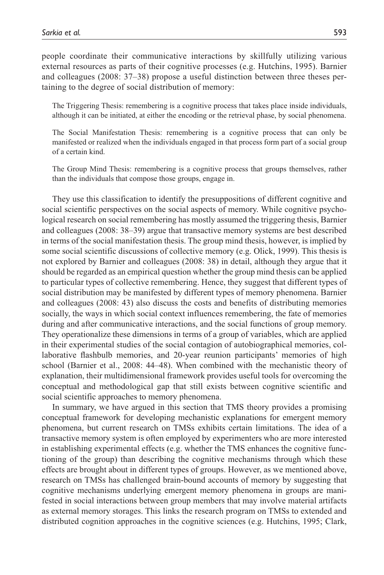people coordinate their communicative interactions by skillfully utilizing various external resources as parts of their cognitive processes (e.g. Hutchins, 1995). Barnier and colleagues (2008: 37–38) propose a useful distinction between three theses pertaining to the degree of social distribution of memory:

The Triggering Thesis: remembering is a cognitive process that takes place inside individuals, although it can be initiated, at either the encoding or the retrieval phase, by social phenomena.

The Social Manifestation Thesis: remembering is a cognitive process that can only be manifested or realized when the individuals engaged in that process form part of a social group of a certain kind.

The Group Mind Thesis: remembering is a cognitive process that groups themselves, rather than the individuals that compose those groups, engage in.

They use this classification to identify the presuppositions of different cognitive and social scientific perspectives on the social aspects of memory. While cognitive psychological research on social remembering has mostly assumed the triggering thesis, Barnier and colleagues (2008: 38–39) argue that transactive memory systems are best described in terms of the social manifestation thesis. The group mind thesis, however, is implied by some social scientific discussions of collective memory (e.g. Olick, 1999). This thesis is not explored by Barnier and colleagues (2008: 38) in detail, although they argue that it should be regarded as an empirical question whether the group mind thesis can be applied to particular types of collective remembering. Hence, they suggest that different types of social distribution may be manifested by different types of memory phenomena. Barnier and colleagues (2008: 43) also discuss the costs and benefits of distributing memories socially, the ways in which social context influences remembering, the fate of memories during and after communicative interactions, and the social functions of group memory. They operationalize these dimensions in terms of a group of variables, which are applied in their experimental studies of the social contagion of autobiographical memories, collaborative flashbulb memories, and 20-year reunion participants' memories of high school (Barnier et al., 2008: 44–48). When combined with the mechanistic theory of explanation, their multidimensional framework provides useful tools for overcoming the conceptual and methodological gap that still exists between cognitive scientific and social scientific approaches to memory phenomena.

In summary, we have argued in this section that TMS theory provides a promising conceptual framework for developing mechanistic explanations for emergent memory phenomena, but current research on TMSs exhibits certain limitations. The idea of a transactive memory system is often employed by experimenters who are more interested in establishing experimental effects (e.g. whether the TMS enhances the cognitive functioning of the group) than describing the cognitive mechanisms through which these effects are brought about in different types of groups. However, as we mentioned above, research on TMSs has challenged brain-bound accounts of memory by suggesting that cognitive mechanisms underlying emergent memory phenomena in groups are manifested in social interactions between group members that may involve material artifacts as external memory storages. This links the research program on TMSs to extended and distributed cognition approaches in the cognitive sciences (e.g. Hutchins, 1995; Clark,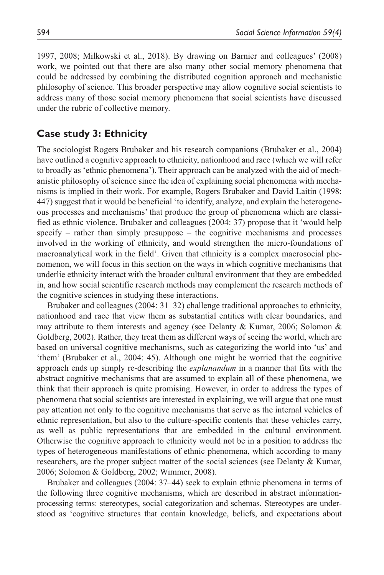1997, 2008; Milkowski et al., 2018). By drawing on Barnier and colleagues' (2008) work, we pointed out that there are also many other social memory phenomena that could be addressed by combining the distributed cognition approach and mechanistic philosophy of science. This broader perspective may allow cognitive social scientists to address many of those social memory phenomena that social scientists have discussed under the rubric of collective memory.

## **Case study 3: Ethnicity**

The sociologist Rogers Brubaker and his research companions (Brubaker et al., 2004) have outlined a cognitive approach to ethnicity, nationhood and race (which we will refer to broadly as 'ethnic phenomena'). Their approach can be analyzed with the aid of mechanistic philosophy of science since the idea of explaining social phenomena with mechanisms is implied in their work. For example, Rogers Brubaker and David Laitin (1998: 447) suggest that it would be beneficial 'to identify, analyze, and explain the heterogeneous processes and mechanisms' that produce the group of phenomena which are classified as ethnic violence. Brubaker and colleagues (2004: 37) propose that it 'would help specify – rather than simply presuppose – the cognitive mechanisms and processes involved in the working of ethnicity, and would strengthen the micro-foundations of macroanalytical work in the field'. Given that ethnicity is a complex macrosocial phenomenon, we will focus in this section on the ways in which cognitive mechanisms that underlie ethnicity interact with the broader cultural environment that they are embedded in, and how social scientific research methods may complement the research methods of the cognitive sciences in studying these interactions.

Brubaker and colleagues (2004: 31–32) challenge traditional approaches to ethnicity, nationhood and race that view them as substantial entities with clear boundaries, and may attribute to them interests and agency (see Delanty & Kumar, 2006; Solomon & Goldberg, 2002). Rather, they treat them as different ways of seeing the world, which are based on universal cognitive mechanisms, such as categorizing the world into 'us' and 'them' (Brubaker et al., 2004: 45). Although one might be worried that the cognitive approach ends up simply re-describing the *explanandum* in a manner that fits with the abstract cognitive mechanisms that are assumed to explain all of these phenomena, we think that their approach is quite promising. However, in order to address the types of phenomena that social scientists are interested in explaining, we will argue that one must pay attention not only to the cognitive mechanisms that serve as the internal vehicles of ethnic representation, but also to the culture-specific contents that these vehicles carry, as well as public representations that are embedded in the cultural environment. Otherwise the cognitive approach to ethnicity would not be in a position to address the types of heterogeneous manifestations of ethnic phenomena, which according to many researchers, are the proper subject matter of the social sciences (see Delanty & Kumar, 2006; Solomon & Goldberg, 2002; Wimmer, 2008).

Brubaker and colleagues (2004: 37–44) seek to explain ethnic phenomena in terms of the following three cognitive mechanisms, which are described in abstract informationprocessing terms: stereotypes, social categorization and schemas. Stereotypes are understood as 'cognitive structures that contain knowledge, beliefs, and expectations about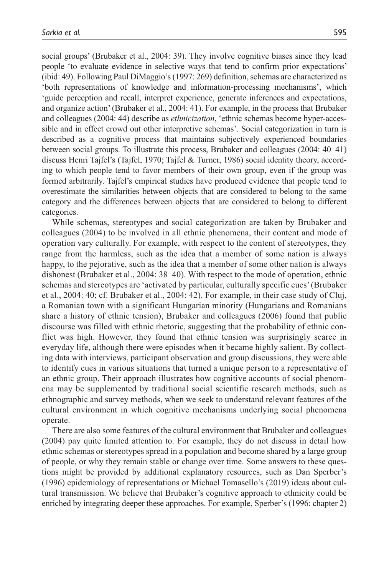social groups' (Brubaker et al., 2004: 39). They involve cognitive biases since they lead people 'to evaluate evidence in selective ways that tend to confirm prior expectations' (ibid: 49). Following Paul DiMaggio's (1997: 269) definition, schemas are characterized as 'both representations of knowledge and information-processing mechanisms', which 'guide perception and recall, interpret experience, generate inferences and expectations, and organize action' (Brubaker et al., 2004: 41). For example, in the process that Brubaker and colleagues (2004: 44) describe as *ethnicization*, 'ethnic schemas become hyper-accessible and in effect crowd out other interpretive schemas'. Social categorization in turn is described as a cognitive process that maintains subjectively experienced boundaries between social groups. To illustrate this process, Brubaker and colleagues (2004: 40–41) discuss Henri Tajfel's (Tajfel, 1970; Tajfel & Turner, 1986) social identity theory, according to which people tend to favor members of their own group, even if the group was formed arbitrarily. Tajfel's empirical studies have produced evidence that people tend to overestimate the similarities between objects that are considered to belong to the same category and the differences between objects that are considered to belong to different categories.

While schemas, stereotypes and social categorization are taken by Brubaker and colleagues (2004) to be involved in all ethnic phenomena, their content and mode of operation vary culturally. For example, with respect to the content of stereotypes, they range from the harmless, such as the idea that a member of some nation is always happy, to the pejorative, such as the idea that a member of some other nation is always dishonest (Brubaker et al., 2004: 38–40). With respect to the mode of operation, ethnic schemas and stereotypes are 'activated by particular, culturally specific cues' (Brubaker et al., 2004: 40; cf. Brubaker et al., 2004: 42). For example, in their case study of Cluj, a Romanian town with a significant Hungarian minority (Hungarians and Romanians share a history of ethnic tension), Brubaker and colleagues (2006) found that public discourse was filled with ethnic rhetoric, suggesting that the probability of ethnic conflict was high. However, they found that ethnic tension was surprisingly scarce in everyday life, although there were episodes when it became highly salient. By collecting data with interviews, participant observation and group discussions, they were able to identify cues in various situations that turned a unique person to a representative of an ethnic group. Their approach illustrates how cognitive accounts of social phenomena may be supplemented by traditional social scientific research methods, such as ethnographic and survey methods, when we seek to understand relevant features of the cultural environment in which cognitive mechanisms underlying social phenomena operate.

There are also some features of the cultural environment that Brubaker and colleagues (2004) pay quite limited attention to. For example, they do not discuss in detail how ethnic schemas or stereotypes spread in a population and become shared by a large group of people, or why they remain stable or change over time. Some answers to these questions might be provided by additional explanatory resources, such as Dan Sperber's (1996) epidemiology of representations or Michael Tomasello's (2019) ideas about cultural transmission. We believe that Brubaker's cognitive approach to ethnicity could be enriched by integrating deeper these approaches. For example, Sperber's (1996: chapter 2)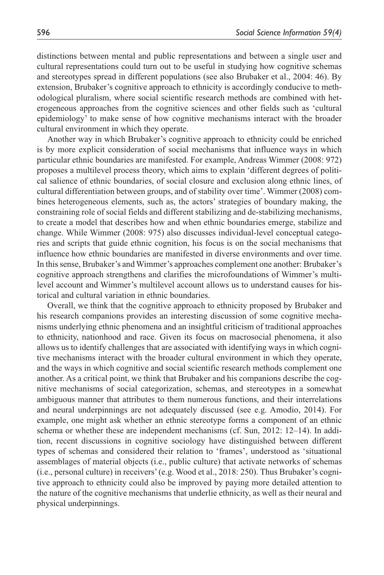distinctions between mental and public representations and between a single user and cultural representations could turn out to be useful in studying how cognitive schemas and stereotypes spread in different populations (see also Brubaker et al., 2004: 46). By extension, Brubaker's cognitive approach to ethnicity is accordingly conducive to methodological pluralism, where social scientific research methods are combined with heterogeneous approaches from the cognitive sciences and other fields such as 'cultural epidemiology' to make sense of how cognitive mechanisms interact with the broader cultural environment in which they operate.

Another way in which Brubaker's cognitive approach to ethnicity could be enriched is by more explicit consideration of social mechanisms that influence ways in which particular ethnic boundaries are manifested. For example, Andreas Wimmer (2008: 972) proposes a multilevel process theory, which aims to explain 'different degrees of political salience of ethnic boundaries, of social closure and exclusion along ethnic lines, of cultural differentiation between groups, and of stability over time'. Wimmer (2008) combines heterogeneous elements, such as, the actors' strategies of boundary making, the constraining role of social fields and different stabilizing and de-stabilizing mechanisms, to create a model that describes how and when ethnic boundaries emerge, stabilize and change. While Wimmer (2008: 975) also discusses individual-level conceptual categories and scripts that guide ethnic cognition, his focus is on the social mechanisms that influence how ethnic boundaries are manifested in diverse environments and over time. In this sense, Brubaker's and Wimmer's approaches complement one another: Brubaker's cognitive approach strengthens and clarifies the microfoundations of Wimmer's multilevel account and Wimmer's multilevel account allows us to understand causes for historical and cultural variation in ethnic boundaries.

Overall, we think that the cognitive approach to ethnicity proposed by Brubaker and his research companions provides an interesting discussion of some cognitive mechanisms underlying ethnic phenomena and an insightful criticism of traditional approaches to ethnicity, nationhood and race. Given its focus on macrosocial phenomena, it also allows us to identify challenges that are associated with identifying ways in which cognitive mechanisms interact with the broader cultural environment in which they operate, and the ways in which cognitive and social scientific research methods complement one another. As a critical point, we think that Brubaker and his companions describe the cognitive mechanisms of social categorization, schemas, and stereotypes in a somewhat ambiguous manner that attributes to them numerous functions, and their interrelations and neural underpinnings are not adequately discussed (see e.g. Amodio, 2014). For example, one might ask whether an ethnic stereotype forms a component of an ethnic schema or whether these are independent mechanisms (cf. Sun, 2012: 12–14). In addition, recent discussions in cognitive sociology have distinguished between different types of schemas and considered their relation to 'frames', understood as 'situational assemblages of material objects (i.e., public culture) that activate networks of schemas (i.e., personal culture) in receivers' (e.g. Wood et al., 2018: 250). Thus Brubaker's cognitive approach to ethnicity could also be improved by paying more detailed attention to the nature of the cognitive mechanisms that underlie ethnicity, as well as their neural and physical underpinnings.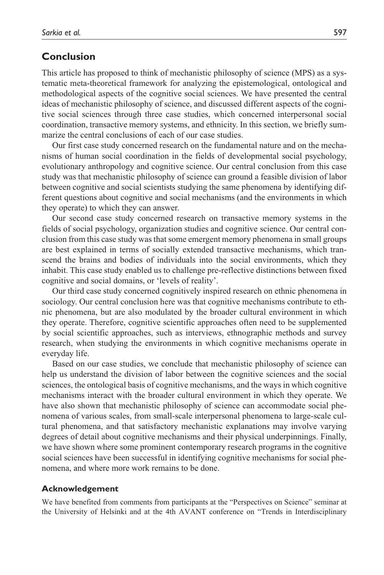### **Conclusion**

This article has proposed to think of mechanistic philosophy of science (MPS) as a systematic meta-theoretical framework for analyzing the epistemological, ontological and methodological aspects of the cognitive social sciences. We have presented the central ideas of mechanistic philosophy of science, and discussed different aspects of the cognitive social sciences through three case studies, which concerned interpersonal social coordination, transactive memory systems, and ethnicity. In this section, we briefly summarize the central conclusions of each of our case studies.

Our first case study concerned research on the fundamental nature and on the mechanisms of human social coordination in the fields of developmental social psychology, evolutionary anthropology and cognitive science. Our central conclusion from this case study was that mechanistic philosophy of science can ground a feasible division of labor between cognitive and social scientists studying the same phenomena by identifying different questions about cognitive and social mechanisms (and the environments in which they operate) to which they can answer.

Our second case study concerned research on transactive memory systems in the fields of social psychology, organization studies and cognitive science. Our central conclusion from this case study was that some emergent memory phenomena in small groups are best explained in terms of socially extended transactive mechanisms, which transcend the brains and bodies of individuals into the social environments, which they inhabit. This case study enabled us to challenge pre-reflective distinctions between fixed cognitive and social domains, or 'levels of reality'.

Our third case study concerned cognitively inspired research on ethnic phenomena in sociology. Our central conclusion here was that cognitive mechanisms contribute to ethnic phenomena, but are also modulated by the broader cultural environment in which they operate. Therefore, cognitive scientific approaches often need to be supplemented by social scientific approaches, such as interviews, ethnographic methods and survey research, when studying the environments in which cognitive mechanisms operate in everyday life.

Based on our case studies, we conclude that mechanistic philosophy of science can help us understand the division of labor between the cognitive sciences and the social sciences, the ontological basis of cognitive mechanisms, and the ways in which cognitive mechanisms interact with the broader cultural environment in which they operate. We have also shown that mechanistic philosophy of science can accommodate social phenomena of various scales, from small-scale interpersonal phenomena to large-scale cultural phenomena, and that satisfactory mechanistic explanations may involve varying degrees of detail about cognitive mechanisms and their physical underpinnings. Finally, we have shown where some prominent contemporary research programs in the cognitive social sciences have been successful in identifying cognitive mechanisms for social phenomena, and where more work remains to be done.

#### **Acknowledgement**

We have benefited from comments from participants at the "Perspectives on Science" seminar at the University of Helsinki and at the 4th AVANT conference on "Trends in Interdisciplinary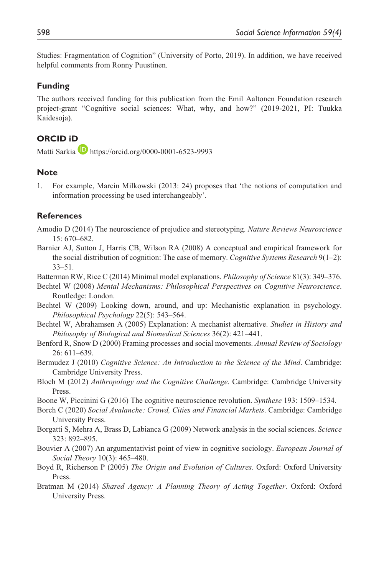Studies: Fragmentation of Cognition" (University of Porto, 2019). In addition, we have received helpful comments from Ronny Puustinen.

#### **Funding**

The authors received funding for this publication from the Emil Aaltonen Foundation research project-grant "Cognitive social sciences: What, why, and how?" (2019-2021, PI: Tuukka Kaidesoja).

## **ORCID iD**

Matti Sarkia **D** <https://orcid.org/0000-0001-6523-9993>

#### **Note**

1. For example, Marcin Milkowski (2013: 24) proposes that 'the notions of computation and information processing be used interchangeably'.

#### **References**

- Amodio D (2014) The neuroscience of prejudice and stereotyping. *Nature Reviews Neuroscience* 15: 670–682.
- Barnier AJ, Sutton J, Harris CB, Wilson RA (2008) A conceptual and empirical framework for the social distribution of cognition: The case of memory. *Cognitive Systems Research* 9(1–2): 33–51.

Batterman RW, Rice C (2014) Minimal model explanations. *Philosophy of Science* 81(3): 349–376.

- Bechtel W (2008) *Mental Mechanisms: Philosophical Perspectives on Cognitive Neuroscience*. Routledge: London.
- Bechtel W (2009) Looking down, around, and up: Mechanistic explanation in psychology. *Philosophical Psychology* 22(5): 543–564.
- Bechtel W, Abrahamsen A (2005) Explanation: A mechanist alternative. *Studies in History and Philosophy of Biological and Biomedical Sciences* 36(2): 421–441.
- Benford R, Snow D (2000) Framing processes and social movements. *Annual Review of Sociology* 26: 611–639.
- Bermudez J (2010) *Cognitive Science: An Introduction to the Science of the Mind*. Cambridge: Cambridge University Press.
- Bloch M (2012) *Anthropology and the Cognitive Challenge*. Cambridge: Cambridge University Press.
- Boone W, Piccinini G (2016) The cognitive neuroscience revolution. *Synthese* 193: 1509–1534.
- Borch C (2020) *Social Avalanche: Crowd, Cities and Financial Markets*. Cambridge: Cambridge University Press.
- Borgatti S, Mehra A, Brass D, Labianca G (2009) Network analysis in the social sciences. *Science* 323: 892–895.
- Bouvier A (2007) An argumentativist point of view in cognitive sociology. *European Journal of Social Theory* 10(3): 465–480.
- Boyd R, Richerson P (2005) *The Origin and Evolution of Cultures*. Oxford: Oxford University Press.
- Bratman M (2014) *Shared Agency: A Planning Theory of Acting Together*. Oxford: Oxford University Press.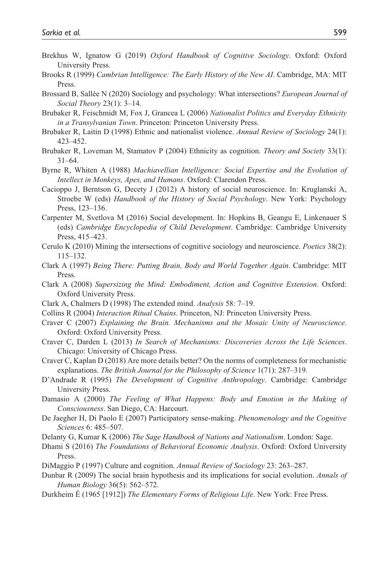- Brekhus W, Ignatow G (2019) *Oxford Handbook of Cognitive Sociology*. Oxford: Oxford University Press.
- Brooks R (1999) *Cambrian Intelligence: The Early History of the New AI*. Cambridge, MA: MIT Press.
- Brossard B, Sallée N (2020) Sociology and psychology: What intersections? *European Journal of Social Theory* 23(1): 3–14.
- Brubaker R, Feischmidt M, Fox J, Grancea L (2006) *Nationalist Politics and Everyday Ethnicity in a Transylvanian Town*. Princeton: Princeton University Press.
- Brubaker R, Laitin D (1998) Ethnic and nationalist violence. *Annual Review of Sociology* 24(1): 423–452.
- Brubaker R, Loveman M, Stamatov P (2004) Ethnicity as cognition. *Theory and Society* 33(1): 31–64.
- Byrne R, Whiten A (1988) *Machiavellian Intelligence: Social Expertise and the Evolution of Intellect in Monkeys, Apes, and Humans*. Oxford: Clarendon Press.
- Cacioppo J, Berntson G, Decety J (2012) A history of social neuroscience. In: Kruglanski A, Stroebe W (eds) *Handbook of the History of Social Psychology*. New York: Psychology Press, 123–136.
- Carpenter M, Svetlova M (2016) Social development. In: Hopkins B, Geangu E, Linkenauer S (eds) *Cambridge Encyclopedia of Child Development*. Cambridge: Cambridge University Press, 415–423.
- Cerulo K (2010) Mining the intersections of cognitive sociology and neuroscience. *Poetics* 38(2): 115–132.
- Clark A (1997) *Being There: Putting Brain, Body and World Together Again*. Cambridge: MIT Press.
- Clark A (2008) *Supersizing the Mind: Embodiment, Action and Cognitive Extension*. Oxford: Oxford University Press.
- Clark A, Chalmers D (1998) The extended mind. *Analysis* 58: 7–19.
- Collins R (2004) *Interaction Ritual Chains*. Princeton, NJ: Princeton University Press.
- Craver C (2007) *Explaining the Brain. Mechanisms and the Mosaic Unity of Neuroscience*. Oxford: Oxford University Press.
- Craver C, Darden L (2013) *In Search of Mechanisms: Discoveries Across the Life Sciences*. Chicago: University of Chicago Press.
- Craver C, Kaplan D (2018) Are more details better? On the norms of completeness for mechanistic explanations. *The British Journal for the Philosophy of Science* 1(71): 287–319.
- D'Andrade R (1995) *The Development of Cognitive Anthropology*. Cambridge: Cambridge University Press.
- Damasio A (2000) *The Feeling of What Happens: Body and Emotion in the Making of Consciousness*. San Diego, CA: Harcourt.
- De Jaegher H, Di Paolo E (2007) Participatory sense-making. *Phenomenology and the Cognitive Sciences* 6: 485–507.
- Delanty G, Kumar K (2006) *The Sage Handbook of Nations and Nationalism*. London: Sage.
- Dhami S (2016) *The Foundations of Behavioral Economic Analysis*. Oxford: Oxford University Press.
- DiMaggio P (1997) Culture and cognition. *Annual Review of Sociology* 23: 263–287.
- Dunbar R (2009) The social brain hypothesis and its implications for social evolution. *Annals of Human Biology* 36(5): 562–572.
- Durkheim É (1965 [1912]) *The Elementary Forms of Religious Life*. New York: Free Press.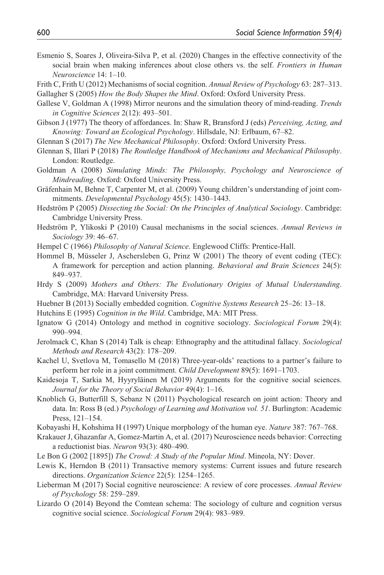- Esmenio S, Soares J, Oliveira-Silva P, et al. (2020) Changes in the effective connectivity of the social brain when making inferences about close others vs. the self. *Frontiers in Human Neuroscience* 14: 1–10.
- Frith C, Frith U (2012) Mechanisms of social cognition. *Annual Review of Psychology* 63: 287–313.
- Gallagher S (2005) *How the Body Shapes the Mind*. Oxford: Oxford University Press.
- Gallese V, Goldman A (1998) Mirror neurons and the simulation theory of mind-reading. *Trends in Cognitive Sciences* 2(12): 493–501.
- Gibson J (1977) The theory of affordances. In: Shaw R, Bransford J (eds) *Perceiving, Acting, and Knowing: Toward an Ecological Psychology*. Hillsdale, NJ: Erlbaum, 67–82.
- Glennan S (2017) *The New Mechanical Philosophy*. Oxford: Oxford University Press.
- Glennan S, Illari P (2018) *The Routledge Handbook of Mechanisms and Mechanical Philosophy*. London: Routledge.
- Goldman A (2008) *Simulating Minds: The Philosophy, Psychology and Neuroscience of Mindreading*. Oxford: Oxford University Press.
- Gräfenhain M, Behne T, Carpenter M, et al. (2009) Young children's understanding of joint commitments. *Developmental Psychology* 45(5): 1430–1443.
- Hedström P (2005) *Dissecting the Social: On the Principles of Analytical Sociology*. Cambridge: Cambridge University Press.
- Hedström P, Ylikoski P (2010) Causal mechanisms in the social sciences. *Annual Reviews in Sociology* 39: 46–67.

Hempel C (1966) *Philosophy of Natural Science*. Englewood Cliffs: Prentice-Hall.

Hommel B, Müsseler J, Aschersleben G, Prinz W (2001) The theory of event coding (TEC): A framework for perception and action planning. *Behavioral and Brain Sciences* 24(5): 849–937.

- Hrdy S (2009) *Mothers and Others: The Evolutionary Origins of Mutual Understanding*. Cambridge, MA: Harvard University Press.
- Huebner B (2013) Socially embedded cognition. *Cognitive Systems Research* 25–26: 13–18.
- Hutchins E (1995) *Cognition in the Wild*. Cambridge, MA: MIT Press.
- Ignatow G (2014) Ontology and method in cognitive sociology. *Sociological Forum* 29(4): 990–994.
- Jerolmack C, Khan S (2014) Talk is cheap: Ethnography and the attitudinal fallacy. *Sociological Methods and Research* 43(2): 178–209.
- Kachel U, Svetlova M, Tomasello M (2018) Three-year-olds' reactions to a partner's failure to perform her role in a joint commitment. *Child Development* 89(5): 1691–1703.
- Kaidesoja T, Sarkia M, Hyyryläinen M (2019) Arguments for the cognitive social sciences. *Journal for the Theory of Social Behavior* 49(4): 1–16.
- Knoblich G, Butterfill S, Sebanz N (2011) Psychological research on joint action: Theory and data. In: Ross B (ed.) *Psychology of Learning and Motivation vol. 51*. Burlington: Academic Press, 121–154.
- Kobayashi H, Kohshima H (1997) Unique morphology of the human eye. *Nature* 387: 767–768.
- Krakauer J, Ghazanfar A, Gomez-Martin A, et al. (2017) Neuroscience needs behavior: Correcting a reductionist bias. *Neuron* 93(3): 480–490.
- Le Bon G (2002 [1895]) *The Crowd: A Study of the Popular Mind*. Mineola, NY: Dover.
- Lewis K, Herndon B (2011) Transactive memory systems: Current issues and future research directions. *Organization Science* 22(5): 1254–1265.
- Lieberman M (2017) Social cognitive neuroscience: A review of core processes. *Annual Review of Psychology* 58: 259–289.
- Lizardo O (2014) Beyond the Comtean schema: The sociology of culture and cognition versus cognitive social science. *Sociological Forum* 29(4): 983–989.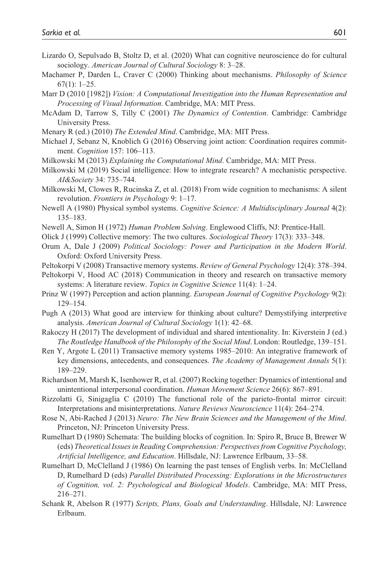- Lizardo O, Sepulvado B, Stoltz D, et al. (2020) What can cognitive neuroscience do for cultural sociology. *American Journal of Cultural Sociology* 8: 3–28.
- Machamer P, Darden L, Craver C (2000) Thinking about mechanisms. *Philosophy of Science* 67(1): 1–25.
- Marr D (2010 [1982]) *Vision: A Computational Investigation into the Human Representation and Processing of Visual Information*. Cambridge, MA: MIT Press.
- McAdam D, Tarrow S, Tilly C (2001) *The Dynamics of Contention*. Cambridge: Cambridge University Press.
- Menary R (ed.) (2010) *The Extended Mind*. Cambridge, MA: MIT Press.
- Michael J, Sebanz N, Knoblich G (2016) Observing joint action: Coordination requires commitment. *Cognition* 157: 106–113.
- Milkowski M (2013) *Explaining the Computational Mind*. Cambridge, MA: MIT Press.
- Milkowski M (2019) Social intelligence: How to integrate research? A mechanistic perspective. *AI&Society* 34: 735–744.
- Milkowski M, Clowes R, Rucinska Z, et al. (2018) From wide cognition to mechanisms: A silent revolution. *Frontiers in Psychology* 9: 1–17.
- Newell A (1980) Physical symbol systems. *Cognitive Science: A Multidisciplinary Journal* 4(2): 135–183.
- Newell A, Simon H (1972) *Human Problem Solving*. Englewood Cliffs, NJ: Prentice-Hall.
- Olick J (1999) Collective memory: The two cultures. *Sociological Theory* 17(3): 333–348.
- Orum A, Dale J (2009) *Political Sociology: Power and Participation in the Modern World*. Oxford: Oxford University Press.
- Peltokorpi V (2008) Transactive memory systems. *Review of General Psychology* 12(4): 378–394.
- Peltokorpi V, Hood AC (2018) Communication in theory and research on transactive memory systems: A literature review. *Topics in Cognitive Science* 11(4): 1–24.
- Prinz W (1997) Perception and action planning. *European Journal of Cognitive Psychology* 9(2): 129–154.
- Pugh A (2013) What good are interview for thinking about culture? Demystifying interpretive analysis. *American Journal of Cultural Sociology* 1(1): 42–68.
- Rakoczy H (2017) The development of individual and shared intentionality. In: Kiverstein J (ed.) *The Routledge Handbook of the Philosophy of the Social Mind*. London: Routledge, 139–151.
- Ren Y, Argote L (2011) Transactive memory systems 1985–2010: An integrative framework of key dimensions, antecedents, and consequences. *The Academy of Management Annals* 5(1): 189–229.
- Richardson M, Marsh K, Isenhower R, et al. (2007) Rocking together: Dynamics of intentional and unintentional interpersonal coordination. *Human Movement Science* 26(6): 867–891.
- Rizzolatti G, Sinigaglia C (2010) The functional role of the parieto-frontal mirror circuit: Interpretations and misinterpretations. *Nature Reviews Neuroscience* 11(4): 264–274.
- Rose N, Abi-Rached J (2013) *Neuro: The New Brain Sciences and the Management of the Mind*. Princeton, NJ: Princeton University Press.
- Rumelhart D (1980) Schemata: The building blocks of cognition. In: Spiro R, Bruce B, Brewer W (eds) *Theoretical Issues in Reading Comprehension: Perspectives from Cognitive Psychology, Artificial Intelligence, and Education*. Hillsdale, NJ: Lawrence Erlbaum, 33–58.
- Rumelhart D, McClelland J (1986) On learning the past tenses of English verbs. In: McClelland D, Rumelhard D (eds) *Parallel Distributed Processing: Explorations in the Microstructures of Cognition, vol. 2: Psychological and Biological Models*. Cambridge, MA: MIT Press, 216–271.
- Schank R, Abelson R (1977) *Scripts, Plans, Goals and Understanding*. Hillsdale, NJ: Lawrence Erlbaum.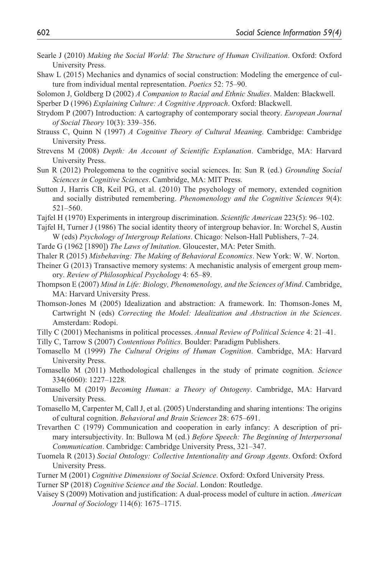- Searle J (2010) *Making the Social World: The Structure of Human Civilization*. Oxford: Oxford University Press.
- Shaw L (2015) Mechanics and dynamics of social construction: Modeling the emergence of culture from individual mental representation. *Poetics* 52: 75–90.

Solomon J, Goldberg D (2002) *A Companion to Racial and Ethnic Studies*. Malden: Blackwell.

Sperber D (1996) *Explaining Culture: A Cognitive Approach*. Oxford: Blackwell.

- Strydom P (2007) Introduction: A cartography of contemporary social theory. *European Journal of Social Theory* 10(3): 339–356.
- Strauss C, Quinn N (1997) *A Cognitive Theory of Cultural Meaning*. Cambridge: Cambridge University Press.
- Strevens M (2008) *Depth: An Account of Scientific Explanation*. Cambridge, MA: Harvard University Press.
- Sun R (2012) Prolegomena to the cognitive social sciences. In: Sun R (ed.) *Grounding Social Sciences in Cognitive Sciences*. Cambridge, MA: MIT Press.
- Sutton J, Harris CB, Keil PG, et al. (2010) The psychology of memory, extended cognition and socially distributed remembering. *Phenomenology and the Cognitive Sciences* 9(4): 521–560.
- Tajfel H (1970) Experiments in intergroup discrimination. *Scientific American* 223(5): 96–102.
- Tajfel H, Turner J (1986) The social identity theory of intergroup behavior. In: Worchel S, Austin W (eds) *Psychology of Intergroup Relations*. Chicago: Nelson-Hall Publishers, 7–24.
- Tarde G (1962 [1890]) *The Laws of Imitation*. Gloucester, MA: Peter Smith.

Thaler R (2015) *Misbehaving: The Making of Behavioral Economics*. New York: W. W. Norton.

- Theiner G (2013) Transactive memory systems: A mechanistic analysis of emergent group memory. *Review of Philosophical Psychology* 4: 65–89.
- Thompson E (2007) *Mind in Life: Biology, Phenomenology, and the Sciences of Mind*. Cambridge, MA: Harvard University Press.
- Thomson-Jones M (2005) Idealization and abstraction: A framework. In: Thomson-Jones M, Cartwright N (eds) *Correcting the Model: Idealization and Abstraction in the Sciences*. Amsterdam: Rodopi.
- Tilly C (2001) Mechanisms in political processes. *Annual Review of Political Science* 4: 21–41.
- Tilly C, Tarrow S (2007) *Contentious Politics*. Boulder: Paradigm Publishers.
- Tomasello M (1999) *The Cultural Origins of Human Cognition*. Cambridge, MA: Harvard University Press.
- Tomasello M (2011) Methodological challenges in the study of primate cognition. *Science* 334(6060): 1227–1228.
- Tomasello M (2019) *Becoming Human: a Theory of Ontogeny*. Cambridge, MA: Harvard University Press.
- Tomasello M, Carpenter M, Call J, et al. (2005) Understanding and sharing intentions: The origins of cultural cognition. *Behavioral and Brain Sciences* 28: 675–691.
- Trevarthen C (1979) Communication and cooperation in early infancy: A description of primary intersubjectivity. In: Bullowa M (ed.) *Before Speech: The Beginning of Interpersonal Communication*. Cambridge: Cambridge University Press, 321–347.
- Tuomela R (2013) *Social Ontology: Collective Intentionality and Group Agents*. Oxford: Oxford University Press.
- Turner M (2001) *Cognitive Dimensions of Social Science*. Oxford: Oxford University Press.
- Turner SP (2018) *Cognitive Science and the Social*. London: Routledge.
- Vaisey S (2009) Motivation and justification: A dual-process model of culture in action. *American Journal of Sociology* 114(6): 1675–1715.